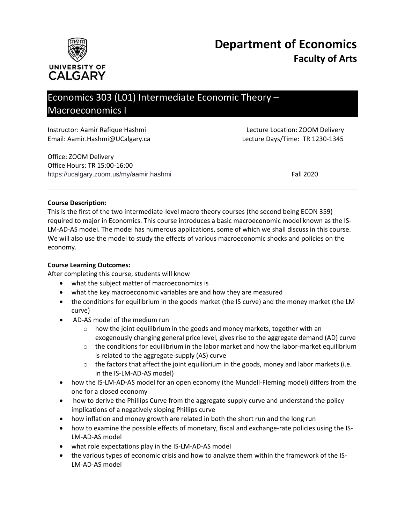



# Economics 303 (L01) Intermediate Economic Theory – Macroeconomics I

| Instructor: Aamir Rafique Hashmi | Lecture Location: ZOOM Delivery |  |
|----------------------------------|---------------------------------|--|
| Email: Aamir.Hashmi@UCalgary.ca  | Lecture Days/Time: TR 1230-1345 |  |
| Office: ZOOM Delivery            |                                 |  |
| Office Hours: TR 15:00-16:00     |                                 |  |

https://ucalgary.zoom.us/my/aamir.hashmi Fall 2020

#### **Course Description:**

This is the first of the two intermediate-level macro theory courses (the second being ECON 359) required to major in Economics. This course introduces a basic macroeconomic model known as the IS-LM-AD-AS model. The model has numerous applications, some of which we shall discuss in this course. We will also use the model to study the effects of various macroeconomic shocks and policies on the economy.

#### **Course Learning Outcomes:**

After completing this course, students will know

- what the subject matter of macroeconomics is
- what the key macroeconomic variables are and how they are measured
- the conditions for equilibrium in the goods market (the IS curve) and the money market (the LM curve)
- AD-AS model of the medium run
	- o how the joint equilibrium in the goods and money markets, together with an exogenously changing general price level, gives rise to the aggregate demand (AD) curve
	- $\circ$  the conditions for equilibrium in the labor market and how the labor-market equilibrium is related to the aggregate-supply (AS) curve
	- $\circ$  the factors that affect the joint equilibrium in the goods, money and labor markets (i.e. in the IS-LM-AD-AS model)
- how the IS-LM-AD-AS model for an open economy (the Mundell-Fleming model) differs from the one for a closed economy
- how to derive the Phillips Curve from the aggregate-supply curve and understand the policy implications of a negatively sloping Phillips curve
- how inflation and money growth are related in both the short run and the long run
- how to examine the possible effects of monetary, fiscal and exchange-rate policies using the IS-LM-AD-AS model
- what role expectations play in the IS-LM-AD-AS model
- the various types of economic crisis and how to analyze them within the framework of the IS-LM-AD-AS model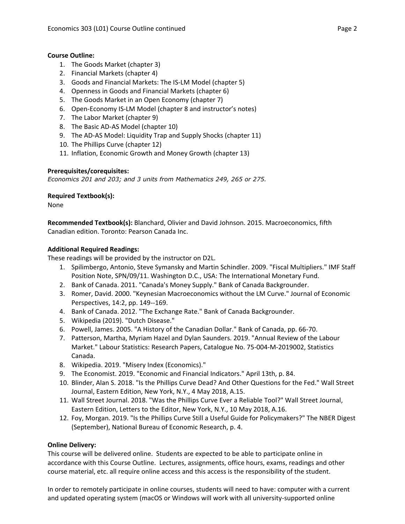#### **Course Outline:**

- 1. The Goods Market (chapter 3)
- 2. Financial Markets (chapter 4)
- 3. Goods and Financial Markets: The IS-LM Model (chapter 5)
- 4. Openness in Goods and Financial Markets (chapter 6)
- 5. The Goods Market in an Open Economy (chapter 7)
- 6. Open-Economy IS-LM Model (chapter 8 and instructor's notes)
- 7. The Labor Market (chapter 9)
- 8. The Basic AD-AS Model (chapter 10)
- 9. The AD-AS Model: Liquidity Trap and Supply Shocks (chapter 11)
- 10. The Phillips Curve (chapter 12)
- 11. Inflation, Economic Growth and Money Growth (chapter 13)

#### **Prerequisites/corequisites:**

*Economics 201 and 203; and 3 units from Mathematics 249, 265 or 275.*

#### **Required Textbook(s):**

None

**Recommended Textbook(s):** Blanchard, Olivier and David Johnson. 2015. Macroeconomics, fifth Canadian edition. Toronto: Pearson Canada Inc.

#### **Additional Required Readings:**

These readings will be provided by the instructor on D2L.

- 1. Spilimbergo, Antonio, Steve Symansky and Martin Schindler. 2009. "Fiscal Multipliers." IMF Staff Position Note, SPN/09/11. Washington D.C., USA: The International Monetary Fund.
- 2. Bank of Canada. 2011. "Canada's Money Supply." Bank of Canada Backgrounder.
- 3. Romer, David. 2000. "Keynesian Macroeconomics without the LM Curve." Journal of Economic Perspectives, 14:2, pp. 149--169.
- 4. Bank of Canada. 2012. "The Exchange Rate." Bank of Canada Backgrounder.
- 5. Wikipedia (2019). "Dutch Disease."
- 6. Powell, James. 2005. "A History of the Canadian Dollar." Bank of Canada, pp. 66-70.
- 7. Patterson, Martha, Myriam Hazel and Dylan Saunders. 2019. "Annual Review of the Labour Market." Labour Statistics: Research Papers, Catalogue No. 75-004-M-2019002, Statistics Canada.
- 8. Wikipedia. 2019. "Misery Index (Economics)."
- 9. The Economist. 2019. "Economic and Financial Indicators." April 13th, p. 84.
- 10. Blinder, Alan S. 2018. "Is the Phillips Curve Dead? And Other Questions for the Fed." Wall Street Journal, Eastern Edition, New York, N.Y., 4 May 2018, A.15.
- 11. Wall Street Journal. 2018. "Was the Phillips Curve Ever a Reliable Tool?" Wall Street Journal, Eastern Edition, Letters to the Editor, New York, N.Y., 10 May 2018, A.16.
- 12. Foy, Morgan. 2019. "Is the Phillips Curve Still a Useful Guide for Policymakers?" The NBER Digest (September), National Bureau of Economic Research, p. 4.

#### **Online Delivery:**

This course will be delivered online. Students are expected to be able to participate online in accordance with this Course Outline. Lectures, assignments, office hours, exams, readings and other course material, etc. all require online access and this access is the responsibility of the student.

In order to remotely participate in online courses, students will need to have: computer with a current and updated operating system (macOS or Windows will work with all university-supported online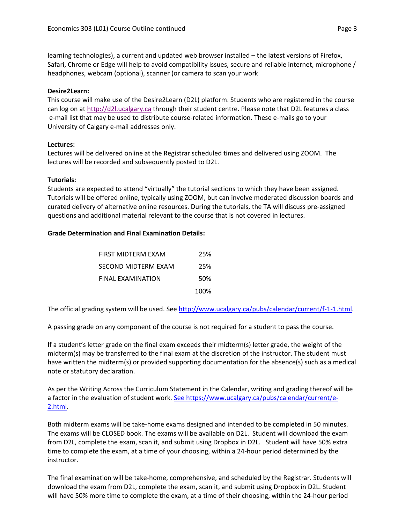learning technologies), a current and updated web browser installed – the latest versions of Firefox, Safari, Chrome or Edge will help to avoid compatibility issues, secure and reliable internet, microphone / headphones, webcam (optional), scanner (or camera to scan your work

#### **Desire2Learn:**

This course will make use of the Desire2Learn (D2L) platform. Students who are registered in the course can log on a[t http://d2l.ucalgary.ca](http://d2l.ucalgary.ca/) through their student centre. Please note that D2L features a class e-mail list that may be used to distribute course-related information. These e-mails go to your University of Calgary e-mail addresses only.

#### **Lectures:**

Lectures will be delivered online at the Registrar scheduled times and delivered using ZOOM. The lectures will be recorded and subsequently posted to D2L.

#### **Tutorials:**

Students are expected to attend "virtually" the tutorial sections to which they have been assigned. Tutorials will be offered online, typically using ZOOM, but can involve moderated discussion boards and curated delivery of alternative online resources. During the tutorials, the TA will discuss pre-assigned questions and additional material relevant to the course that is not covered in lectures.

#### **Grade Determination and Final Examination Details:**

| FIRST MIDTERM EXAM  | 25%  |
|---------------------|------|
| SECOND MIDTERM EXAM | 25%  |
| FINAL EXAMINATION   | 50%  |
|                     | 100% |

The official grading system will be used. See [http://www.ucalgary.ca/pubs/calendar/current/f-1-1.html.](http://www.ucalgary.ca/pubs/calendar/current/f-1-1.html)

A passing grade on any component of the course is not required for a student to pass the course.

If a student's letter grade on the final exam exceeds their midterm(s) letter grade, the weight of the midterm(s) may be transferred to the final exam at the discretion of the instructor. The student must have written the midterm(s) or provided supporting documentation for the absence(s) such as a medical note or statutory declaration.

As per the Writing Across the Curriculum Statement in the Calendar, writing and grading thereof will be a factor in the evaluation of student work. [See https://www.ucalgary.ca/pubs/calendar/current/e-](https://www.ucalgary.ca/pubs/calendar/current/e-2.html)[2.html.](https://www.ucalgary.ca/pubs/calendar/current/e-2.html)

Both midterm exams will be take-home exams designed and intended to be completed in 50 minutes. The exams will be CLOSED book. The exams will be available on D2L. Student will download the exam from D2L, complete the exam, scan it, and submit using Dropbox in D2L. Student will have 50% extra time to complete the exam, at a time of your choosing, within a 24-hour period determined by the instructor.

The final examination will be take-home, comprehensive, and scheduled by the Registrar. Students will download the exam from D2L, complete the exam, scan it, and submit using Dropbox in D2L. Student will have 50% more time to complete the exam, at a time of their choosing, within the 24-hour period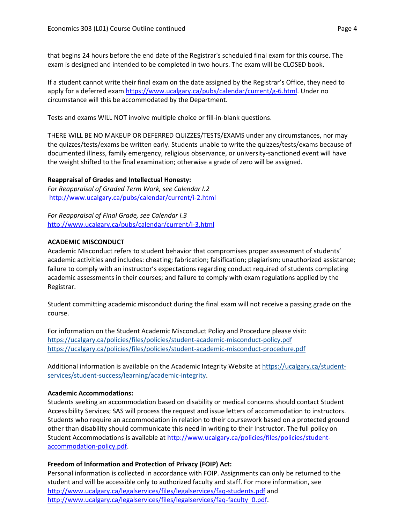that begins 24 hours before the end date of the Registrar's scheduled final exam for this course. The exam is designed and intended to be completed in two hours. The exam will be CLOSED book.

If a student cannot write their final exam on the date assigned by the Registrar's Office, they need to apply for a deferred exam [https://www.ucalgary.ca/pubs/calendar/current/g-6.html.](https://www.ucalgary.ca/pubs/calendar/current/g-6.html) Under no circumstance will this be accommodated by the Department.

Tests and exams WILL NOT involve multiple choice or fill-in-blank questions.

THERE WILL BE NO MAKEUP OR DEFERRED QUIZZES/TESTS/EXAMS under any circumstances, nor may the quizzes/tests/exams be written early. Students unable to write the quizzes/tests/exams because of documented illness, family emergency, religious observance, or university-sanctioned event will have the weight shifted to the final examination; otherwise a grade of zero will be assigned.

# **Reappraisal of Grades and Intellectual Honesty:**

*For Reappraisal of Graded Term Work, see Calendar I.2* <http://www.ucalgary.ca/pubs/calendar/current/i-2.html>

*For Reappraisal of Final Grade, see Calendar I.3* <http://www.ucalgary.ca/pubs/calendar/current/i-3.html>

# **ACADEMIC MISCONDUCT**

Academic Misconduct refers to student behavior that compromises proper assessment of students' academic activities and includes: cheating; fabrication; falsification; plagiarism; unauthorized assistance; failure to comply with an instructor's expectations regarding conduct required of students completing academic assessments in their courses; and failure to comply with exam regulations applied by the Registrar.

Student committing academic misconduct during the final exam will not receive a passing grade on the course.

For information on the Student Academic Misconduct Policy and Procedure please visit: <https://ucalgary.ca/policies/files/policies/student-academic-misconduct-policy.pdf> <https://ucalgary.ca/policies/files/policies/student-academic-misconduct-procedure.pdf>

Additional information is available on the Academic Integrity Website at [https://ucalgary.ca/student](https://ucalgary.ca/student-services/student-success/learning/academic-integrity)[services/student-success/learning/academic-integrity.](https://ucalgary.ca/student-services/student-success/learning/academic-integrity)

# **Academic Accommodations:**

Students seeking an accommodation based on disability or medical concerns should contact Student Accessibility Services; SAS will process the request and issue letters of accommodation to instructors. Students who require an accommodation in relation to their coursework based on a protected ground other than disability should communicate this need in writing to their Instructor. The full policy on Student Accommodations is available at [http://www.ucalgary.ca/policies/files/policies/student](http://www.ucalgary.ca/policies/files/policies/student-accommodation-policy.pdf)[accommodation-policy.pdf.](http://www.ucalgary.ca/policies/files/policies/student-accommodation-policy.pdf)

# **Freedom of Information and Protection of Privacy (FOIP) Act:**

Personal information is collected in accordance with FOIP. Assignments can only be returned to the student and will be accessible only to authorized faculty and staff. For more information, see <http://www.ucalgary.ca/legalservices/files/legalservices/faq-students.pdf> and [http://www.ucalgary.ca/legalservices/files/legalservices/faq-faculty\\_0.pdf.](http://www.ucalgary.ca/legalservices/files/legalservices/faq-faculty_0.pdf)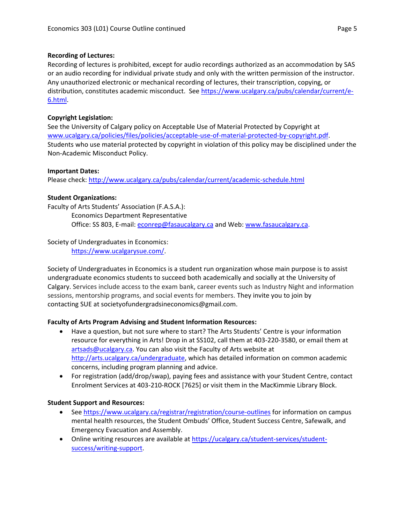#### **Recording of Lectures:**

Recording of lectures is prohibited, except for audio recordings authorized as an accommodation by SAS or an audio recording for individual private study and only with the written permission of the instructor. Any unauthorized electronic or mechanical recording of lectures, their transcription, copying, or distribution, constitutes academic misconduct. See [https://www.ucalgary.ca/pubs/calendar/current/e-](https://www.ucalgary.ca/pubs/calendar/current/e-6.html)[6.html.](https://www.ucalgary.ca/pubs/calendar/current/e-6.html)

#### **Copyright Legislation:**

See the University of Calgary policy on Acceptable Use of Material Protected by Copyright at [www.ucalgary.ca/policies/files/policies/acceptable-use-of-material-protected-by-copyright.pdf.](http://www.ucalgary.ca/policies/files/policies/acceptable-use-of-material-protected-by-copyright.pdf) Students who use material protected by copyright in violation of this policy may be disciplined under the Non-Academic Misconduct Policy.

#### **Important Dates:**

Please check:<http://www.ucalgary.ca/pubs/calendar/current/academic-schedule.html>

#### **Student Organizations:**

Faculty of Arts Students' Association (F.A.S.A.): Economics Department Representative

Office: SS 803, E-mail: [econrep@fasaucalgary.ca](mailto:econrep@fasaucalgary.ca) and Web: [www.fasaucalgary.ca.](http://www.fasaucalgary.ca/)

# Society of Undergraduates in Economics:

[https://www.ucalgarysue.com/.](https://www.ucalgarysue.com/)

Society of Undergraduates in Economics is a student run organization whose main purpose is to assist undergraduate economics students to succeed both academically and socially at the University of Calgary. Services include access to the exam bank, career events such as Industry Night and information sessions, mentorship programs, and social events for members. They invite you to join by contacting SUE at societyofundergradsineconomics@gmail.com.

# **Faculty of Arts Program Advising and Student Information Resources:**

- Have a question, but not sure where to start? The Arts Students' Centre is your information resource for everything in Arts! Drop in at SS102, call them at 403-220-3580, or email them at [artsads@ucalgary.ca.](mailto:artsads@ucalgary.ca) You can also visit the Faculty of Arts website at [http://arts.ucalgary.ca/undergraduate,](http://arts.ucalgary.ca/undergraduate) which has detailed information on common academic concerns, including program planning and advice.
- For registration (add/drop/swap), paying fees and assistance with your Student Centre, contact Enrolment Services at 403-210-ROCK [7625] or visit them in the MacKimmie Library Block.

# **Student Support and Resources:**

- See<https://www.ucalgary.ca/registrar/registration/course-outlines> for information on campus mental health resources, the Student Ombuds' Office, Student Success Centre, Safewalk, and Emergency Evacuation and Assembly.
- Online writing resources are available at [https://ucalgary.ca/student-services/student](https://ucalgary.ca/student-services/student-success/writing-support)[success/writing-support.](https://ucalgary.ca/student-services/student-success/writing-support)